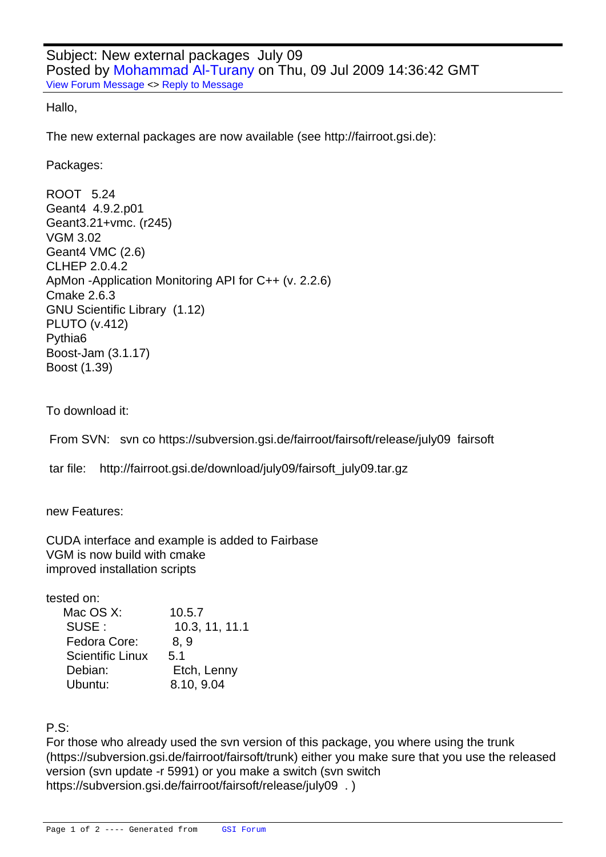Hallo,

[The new external p](https://forum.gsi.de/index.php?t=rview&th=2488&goto=8965#msg_8965)a[ckages are now](https://forum.gsi.de/index.php?t=post&reply_to=8965) available (see http://fairroot.gsi.de):

Packages:

ROOT 5.24 Geant4 4.9.2.p01 Geant3.21+vmc. (r245) VGM 3.02 Geant4 VMC (2.6) CLHEP 2.0.4.2 ApMon -Application Monitoring API for C++ (v. 2.2.6) Cmake 2.6.3 GNU Scientific Library (1.12) PLUTO (v.412) Pythia6 Boost-Jam (3.1.17) Boost (1.39)

To download it:

From SVN: svn co https://subversion.gsi.de/fairroot/fairsoft/release/july09 fairsoft

tar file: http://fairroot.gsi.de/download/july09/fairsoft\_july09.tar.gz

new Features: 

CUDA interface and example is added to Fairbase VGM is now build with cmake improved installation scripts

tested on:

| Mac OS X:               | 10.5.7         |
|-------------------------|----------------|
| SUSE:                   | 10.3, 11, 11.1 |
| Fedora Core:            | 8.9            |
| <b>Scientific Linux</b> | 5.1            |
| Debian:                 | Etch, Lenny    |
| Ubuntu:                 | 8.10, 9.04     |

P.S:

For those who already used the svn version of this package, you where using the trunk (https://subversion.gsi.de/fairroot/fairsoft/trunk) either you make sure that you use the released version (svn update -r 5991) or you make a switch (svn switch https://subversion.gsi.de/fairroot/fairsoft/release/july09 . )